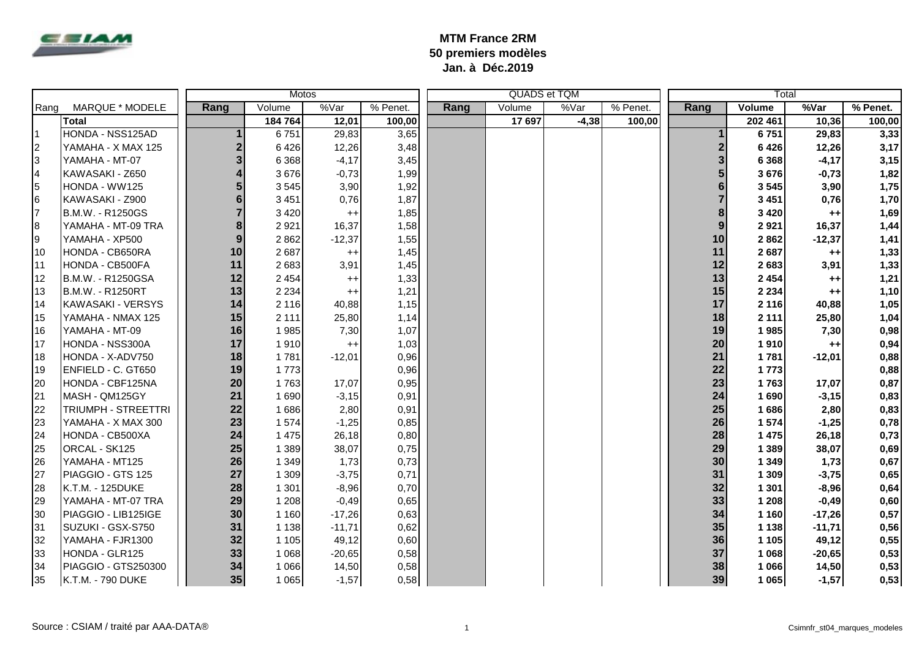

## **MTM France 2RM 50 premiers modèles Jan. à Déc.2019**

| Motos |                     |                         |         |                 |          | QUADS et TQM |        | Total   |          |      |         |          |          |
|-------|---------------------|-------------------------|---------|-----------------|----------|--------------|--------|---------|----------|------|---------|----------|----------|
| Rang  | MARQUE * MODELE     | Rang                    | Volume  | %Var            | % Penet. | Rang         | Volume | %Var    | % Penet. | Rang | Volume  | %Var     | % Penet. |
|       | <b>Total</b>        |                         | 184 764 | 12,01           | 100,00   |              | 17 697 | $-4,38$ | 100.00   |      | 202 461 | 10,36    | 100,00   |
|       | HONDA - NSS125AD    | $\mathbf 1$             | 6751    | 29,83           | 3,65     |              |        |         |          |      | 6751    | 29,83    | 3,33     |
| 2     | YAMAHA - X MAX 125  | $\overline{\mathbf{c}}$ | 6426    | 12,26           | 3,48     |              |        |         |          |      | 6426    | 12,26    | 3,17     |
| l3    | YAMAHA - MT-07      | 3                       | 6 3 6 8 | $-4,17$         | 3,45     |              |        |         |          |      | 6 3 6 8 | $-4,17$  | 3,15     |
|       | KAWASAKI - Z650     | $\overline{\mathbf{4}}$ | 3676    | $-0,73$         | 1,99     |              |        |         |          |      | 3676    | $-0,73$  | 1,82     |
| 5     | HONDA - WW125       | 5                       | 3545    | 3,90            | 1,92     |              |        |         |          |      | 3545    | 3,90     | 1,75     |
| 6     | KAWASAKI - Z900     | 6                       | 3 4 5 1 | 0,76            | 1,87     |              |        |         |          |      | 3 4 5 1 | 0,76     | 1,70     |
| 17    | B.M.W. - R1250GS    | $\overline{7}$          | 3 4 2 0 | $^{++}$         | 1,85     |              |        |         |          |      | 3 4 2 0 | $++$     | 1,69     |
| 8     | YAMAHA - MT-09 TRA  | 8                       | 2 9 2 1 | 16,37           | 1,58     |              |        |         |          | 9    | 2921    | 16,37    | 1,44     |
| Ι9    | YAMAHA - XP500      | 9                       | 2862    | $-12,37$        | 1,55     |              |        |         |          | 10   | 2862    | $-12,37$ | 1,41     |
| 10    | HONDA - CB650RA     | 10                      | 2687    | $^{++}$         | 1,45     |              |        |         |          | 11   | 2687    | $++$     | 1,33     |
| 11    | HONDA - CB500FA     | 11                      | 2 6 8 3 | 3,91            | 1,45     |              |        |         |          | 12   | 2683    | 3,91     | 1,33     |
| 12    | B.M.W. - R1250GSA   | 12                      | 2 4 5 4 | $^{++}$         | 1,33     |              |        |         |          | 13   | 2 4 5 4 | $++$     | 1,21     |
| 13    | B.M.W. - R1250RT    | 13                      | 2 2 3 4 | $^{++}$         | 1,21     |              |        |         |          | 15   | 2 2 3 4 | $++$     | 1,10     |
| 14    | KAWASAKI - VERSYS   | 14                      | 2 1 1 6 | 40,88           | 1,15     |              |        |         |          | 17   | 2 1 1 6 | 40,88    | 1,05     |
| 15    | YAMAHA - NMAX 125   | 15                      | 2 1 1 1 | 25,80           | 1,14     |              |        |         |          | 18   | 2 1 1 1 | 25,80    | 1,04     |
| 16    | YAMAHA - MT-09      | 16                      | 1985    | 7,30            | 1,07     |              |        |         |          | 19   | 1985    | 7,30     | 0,98     |
| 17    | HONDA - NSS300A     | 17                      | 1910    | $^{\mathrm{+}}$ | 1,03     |              |        |         |          | 20   | 1910    | $++$     | 0,94     |
| 18    | HONDA - X-ADV750    | 18                      | 1781    | $-12,01$        | 0,96     |              |        |         |          | 21   | 1781    | $-12,01$ | 0,88     |
| 19    | ENFIELD - C. GT650  | 19                      | 1773    |                 | 0,96     |              |        |         |          | 22   | 1773    |          | 0,88     |
| 20    | HONDA - CBF125NA    | 20                      | 1763    | 17,07           | 0,95     |              |        |         |          | 23   | 1763    | 17,07    | 0,87     |
| 21    | MASH - QM125GY      | 21                      | 1690    | $-3,15$         | 0,91     |              |        |         |          | 24   | 1690    | $-3,15$  | 0,83     |
| 22    | TRIUMPH - STREETTRI | 22                      | 1686    | 2,80            | 0,91     |              |        |         |          | 25   | 1686    | 2,80     | 0,83     |
| 23    | YAMAHA - X MAX 300  | 23                      | 1 574   | $-1,25$         | 0,85     |              |        |         |          | 26   | 1 574   | $-1,25$  | 0,78     |
| 24    | HONDA - CB500XA     | 24                      | 1 4 7 5 | 26,18           | 0,80     |              |        |         |          | 28   | 1 4 7 5 | 26,18    | 0,73     |
| 25    | ORCAL - SK125       | 25                      | 1 3 8 9 | 38,07           | 0,75     |              |        |         |          | 29   | 1 3 8 9 | 38,07    | 0,69     |
| 26    | YAMAHA - MT125      | 26                      | 1 3 4 9 | 1,73            | 0,73     |              |        |         |          | 30   | 1 3 4 9 | 1,73     | 0,67     |
| 27    | PIAGGIO - GTS 125   | 27                      | 1 3 0 9 | $-3,75$         | 0,71     |              |        |         |          | 31   | 1 3 0 9 | $-3,75$  | 0,65     |
| 28    | K.T.M. - 125DUKE    | 28                      | 1 3 0 1 | $-8,96$         | 0,70     |              |        |         |          | 32   | 1 3 0 1 | $-8,96$  | 0,64     |
| 29    | YAMAHA - MT-07 TRA  | 29                      | 1 2 0 8 | $-0,49$         | 0,65     |              |        |         |          | 33   | 1 2 0 8 | $-0,49$  | 0,60     |
| 30    | PIAGGIO - LIB125IGE | 30                      | 1 1 6 0 | $-17,26$        | 0,63     |              |        |         |          | 34   | 1 1 6 0 | $-17,26$ | 0,57     |
| 31    | SUZUKI - GSX-S750   | 31                      | 1 1 3 8 | $-11,71$        | 0,62     |              |        |         |          | 35   | 1 1 3 8 | $-11,71$ | 0,56     |
| 32    | YAMAHA - FJR1300    | 32                      | 1 1 0 5 | 49,12           | 0,60     |              |        |         |          | 36   | 1 1 0 5 | 49,12    | 0,55     |
| 33    | HONDA - GLR125      | 33                      | 1 0 6 8 | $-20,65$        | 0,58     |              |        |         |          | 37   | 1 0 6 8 | $-20,65$ | 0,53     |
| 34    | PIAGGIO - GTS250300 | 34                      | 1 0 6 6 | 14,50           | 0,58     |              |        |         |          | 38   | 1 0 6 6 | 14,50    | 0,53     |
| 35    | K.T.M. - 790 DUKE   | 35                      | 1 0 6 5 | $-1,57$         | 0,58     |              |        |         |          | 39   | 1 0 6 5 | $-1,57$  | 0,53     |